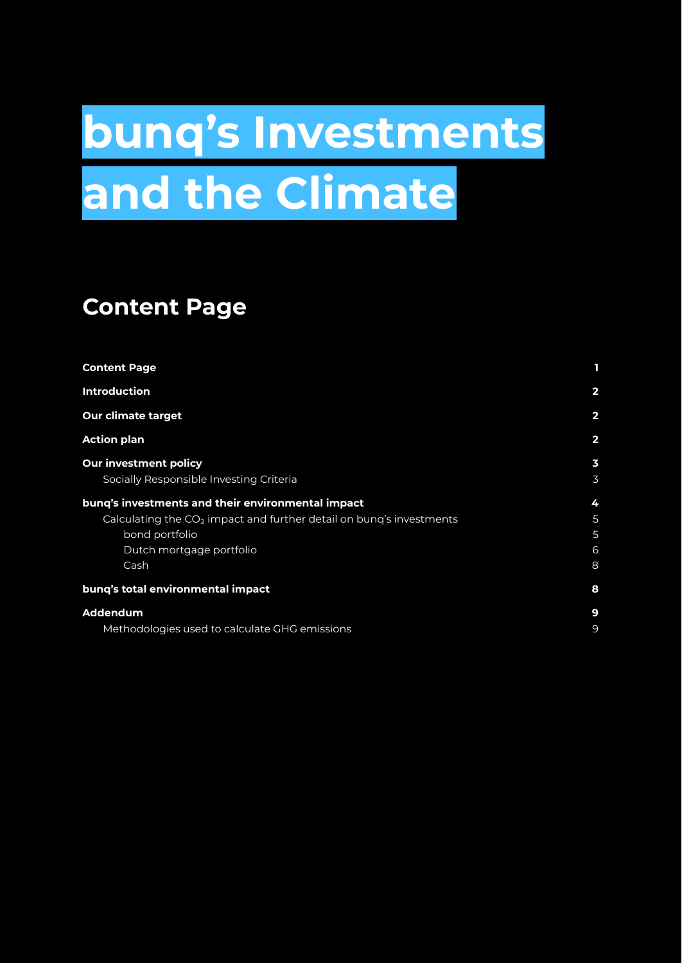# <span id="page-0-0"></span>**bunq's Investments and the Climate**

# **Content Page**

| <b>Content Page</b>                                                             |                         |
|---------------------------------------------------------------------------------|-------------------------|
| <b>Introduction</b>                                                             | $\overline{2}$          |
| <b>Our climate target</b>                                                       | $\overline{\mathbf{2}}$ |
| <b>Action plan</b>                                                              | $\overline{2}$          |
| <b>Our investment policy</b>                                                    | $\overline{\mathbf{3}}$ |
| Socially Responsible Investing Criteria                                         | 3                       |
| bung's investments and their environmental impact                               | 4                       |
| Calculating the CO <sub>2</sub> impact and further detail on bung's investments | 5                       |
| bond portfolio                                                                  | 5                       |
| Dutch mortgage portfolio                                                        | 6                       |
| Cash                                                                            | 8                       |
| bung's total environmental impact                                               | 8                       |
| Addendum                                                                        | 9                       |
| Methodologies used to calculate GHG emissions                                   | 9                       |
|                                                                                 |                         |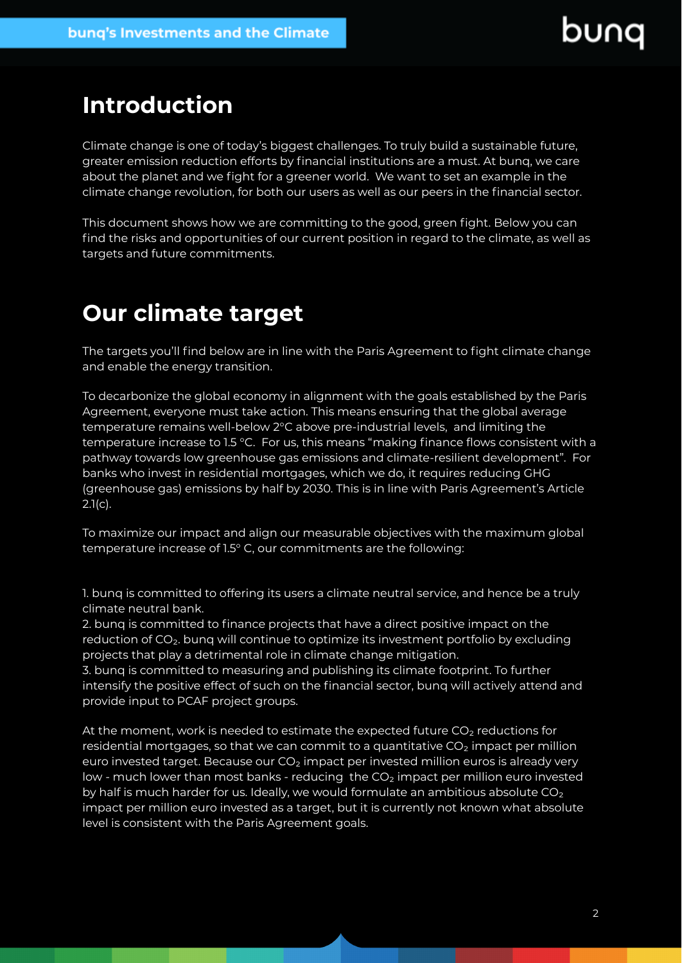### **Introduction**

Climate change is one of today's biggest challenges. To truly build a sustainable future, greater emission reduction efforts by financial institutions are a must. At bunq, we care about the planet and we fight for a greener world. We want to set an example in the climate change revolution, for both our users as well as our peers in the financial sector.

This document shows how we are committing to the good, green fight. Below you can find the risks and opportunities of our current position in regard to the climate, as well as targets and future commitments.

# <span id="page-1-0"></span>**Our climate target**

The targets you'll find below are in line with the Paris Agreement to fight climate change and enable the energy transition.

To decarbonize the global economy in alignment with the goals established by the Paris Agreement, everyone must take action. This means ensuring that the global average temperature remains well-below 2°C above pre-industrial levels, and limiting the temperature increase to 1.5 °C. For us, this means "making finance flows consistent with a pathway towards low greenhouse gas emissions and climate-resilient development". For banks who invest in residential mortgages, which we do, it requires reducing GHG (greenhouse gas) emissions by half by 2030. This is in line with Paris Agreement's Article  $2.1(c)$ .

To maximize our impact and align our measurable objectives with the maximum global temperature increase of 1.5° C, our commitments are the following:

1. bunq is committed to offering its users a climate neutral service, and hence be a truly climate neutral bank.

2. bunq is committed to finance projects that have a direct positive impact on the reduction of CO₂. bunq will continue to optimize its investment portfolio by excluding projects that play a detrimental role in climate change mitigation.

3. bunq is committed to measuring and publishing its climate footprint. To further intensify the positive effect of such on the financial sector, bunq will actively attend and provide input to PCAF project groups.

At the moment, work is needed to estimate the expected future CO<sub>2</sub> reductions for residential mortgages, so that we can commit to a quantitative  $CO<sub>2</sub>$  impact per million euro invested target. Because our  $CO<sub>2</sub>$  impact per invested million euros is already very low - much lower than most banks - reducing the CO<sub>2</sub> impact per million euro invested by half is much harder for us. Ideally, we would formulate an ambitious absolute  $CO<sub>2</sub>$ impact per million euro invested as a target, but it is currently not known what absolute level is consistent with the Paris Agreement goals.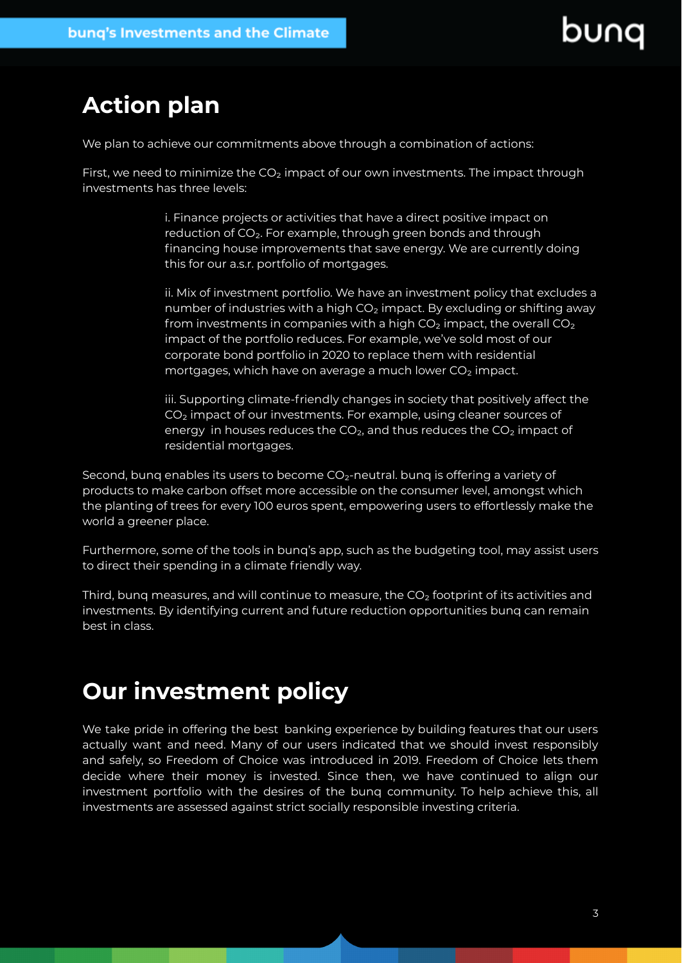# <span id="page-2-0"></span>**Action plan**

We plan to achieve our commitments above through a combination of actions:

First, we need to minimize the  $CO<sub>2</sub>$  impact of our own investments. The impact through investments has three levels:

> i. Finance projects or activities that have a direct positive impact on reduction of CO<sub>2</sub>. For example, through green bonds and through financing house improvements that save energy. We are currently doing this for our a.s.r. portfolio of mortgages.

ii. Mix of investment portfolio. We have an investment policy that excludes a number of industries with a high  $CO<sub>2</sub>$  impact. By excluding or shifting away from investments in companies with a high  $CO<sub>2</sub>$  impact, the overall  $CO<sub>2</sub>$ impact of the portfolio reduces. For example, we've sold most of our corporate bond portfolio in 2020 to replace them with residential mortgages, which have on average a much lower CO<sub>2</sub> impact.

iii. Supporting climate-friendly changes in society that positively affect the CO<sub>2</sub> impact of our investments. For example, using cleaner sources of energy in houses reduces the  $CO<sub>2</sub>$ , and thus reduces the  $CO<sub>2</sub>$  impact of residential mortgages.

Second, bunq enables its users to become CO<sub>2</sub>-neutral. bunq is offering a variety of products to make carbon offset more accessible on the consumer level, amongst which the planting of trees for every 100 euros spent, empowering users to effortlessly make the world a greener place.

Furthermore, some of the tools in bunq's app, such as the budgeting tool, may assist users to direct their spending in a climate friendly way.

Third, bung measures, and will continue to measure, the  $CO<sub>2</sub>$  footprint of its activities and investments. By identifying current and future reduction opportunities bunq can remain best in class.

# **Our investment policy**

We take pride in offering the best banking experience by building features that our users actually want and need. Many of our users indicated that we should invest responsibly and safely, so Freedom of Choice was introduced in 2019. Freedom of Choice lets them decide where their money is invested. Since then, we have continued to align our investment portfolio with the desires of the bunq community. To help achieve this, all investments are assessed against strict socially responsible investing criteria.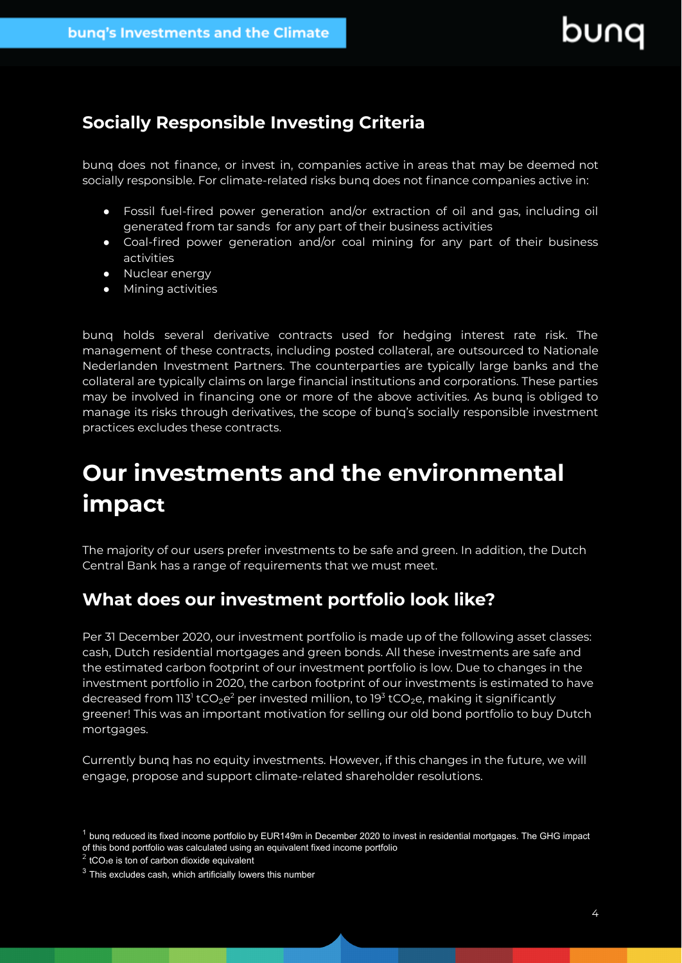### <span id="page-3-0"></span>**Socially Responsible Investing Criteria**

bunq does not finance, or invest in, companies active in areas that may be deemed not socially responsible. For climate-related risks bunq does not finance companies active in:

- Fossil fuel-fired power generation and/or extraction of oil and gas, including oil generated from tar sands for any part of their business activities
- Coal-fired power generation and/or coal mining for any part of their business activities
- Nuclear energy
- Mining activities

bunq holds several derivative contracts used for hedging interest rate risk. The management of these contracts, including posted collateral, are outsourced to Nationale Nederlanden Investment Partners. The counterparties are typically large banks and the collateral are typically claims on large financial institutions and corporations. These parties may be involved in financing one or more of the above activities. As bunq is obliged to manage its risks through derivatives, the scope of bunq's socially responsible investment practices excludes these contracts.

# <span id="page-3-1"></span>**Our investments and the environmental impact**

The majority of our users prefer investments to be safe and green. In addition, the Dutch Central Bank has a range of requirements that we must meet.

### **What does our investment portfolio look like?**

Per 31 December 2020, our investment portfolio is made up of the following asset classes: cash, Dutch residential mortgages and green bonds. All these investments are safe and the estimated carbon footprint of our investment portfolio is low. Due to changes in the investment portfolio in 2020, the carbon footprint of our investments is estimated to have decreased from 113<sup>1</sup> tCO<sub>2</sub>e<sup>2</sup> per invested million, to 19<sup>3</sup> tCO<sub>2</sub>e, making it significantly greener! This was an important motivation for selling our old bond portfolio to buy Dutch mortgages.

Currently bunq has no equity investments. However, if this changes in the future, we will engage, propose and support climate-related shareholder resolutions.

 $1$  bunq reduced its fixed income portfolio by EUR149m in December 2020 to invest in residential mortgages. The GHG impact of this bond portfolio was calculated using an equivalent fixed income portfolio

 $2$  tCO<sub>2</sub>e is ton of carbon dioxide equivalent

<sup>&</sup>lt;sup>3</sup> This excludes cash, which artificially lowers this number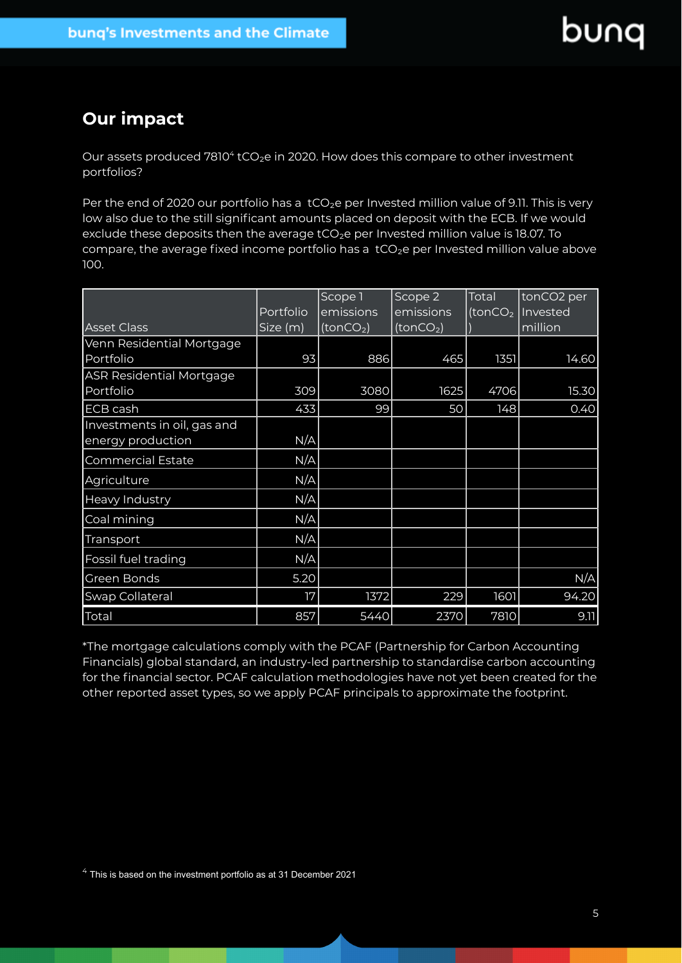### **Our impact**

Our assets produced  $7810^4$  tCO<sub>2</sub>e in 2020. How does this compare to other investment portfolios?

Per the end of 2020 our portfolio has a tCO<sub>2</sub>e per Invested million value of 9.11. This is very low also due to the still significant amounts placed on deposit with the ECB. If we would exclude these deposits then the average tCO<sub>2</sub>e per Invested million value is 18.07. To compare, the average fixed income portfolio has a tCO<sub>2</sub>e per Invested million value above 100.

|                                 |           | Scope 1               | Scope 2               | Total               | tonCO2 per |
|---------------------------------|-----------|-----------------------|-----------------------|---------------------|------------|
|                                 | Portfolio | emissions             | emissions             | (tonCO <sub>2</sub> | Invested   |
| <b>Asset Class</b>              | Size (m)  | (tonCO <sub>2</sub> ) | (tonCO <sub>2</sub> ) |                     | million    |
| Venn Residential Mortgage       |           |                       |                       |                     |            |
| Portfolio                       | 93        | 886                   | 465                   | 1351                | 14.60      |
| <b>ASR Residential Mortgage</b> |           |                       |                       |                     |            |
| Portfolio                       | 309       | 3080                  | 1625                  | 4706                | 15.30      |
| <b>ECB cash</b>                 | 433       | 99                    | 50                    | 148                 | 0.40       |
| Investments in oil, gas and     |           |                       |                       |                     |            |
| energy production               | N/A       |                       |                       |                     |            |
| <b>Commercial Estate</b>        | N/A       |                       |                       |                     |            |
| Agriculture                     | N/A       |                       |                       |                     |            |
| Heavy Industry                  | N/A       |                       |                       |                     |            |
| Coal mining                     | N/A       |                       |                       |                     |            |
| Transport                       | N/A       |                       |                       |                     |            |
| Fossil fuel trading             | N/A       |                       |                       |                     |            |
| Green Bonds                     | 5.20      |                       |                       |                     | N/A        |
| Swap Collateral                 | 17        | 1372                  | 229                   | 1601                | 94.20      |
| Total                           | 857       | 5440                  | 2370                  | 7810                | 9.11       |

\*The mortgage calculations comply with the PCAF (Partnership for Carbon Accounting Financials) global standard, an industry-led partnership to standardise carbon accounting for the financial sector. PCAF calculation methodologies have not yet been created for the other reported asset types, so we apply PCAF principals to approximate the footprint.

 $4$  This is based on the investment portfolio as at 31 December 2021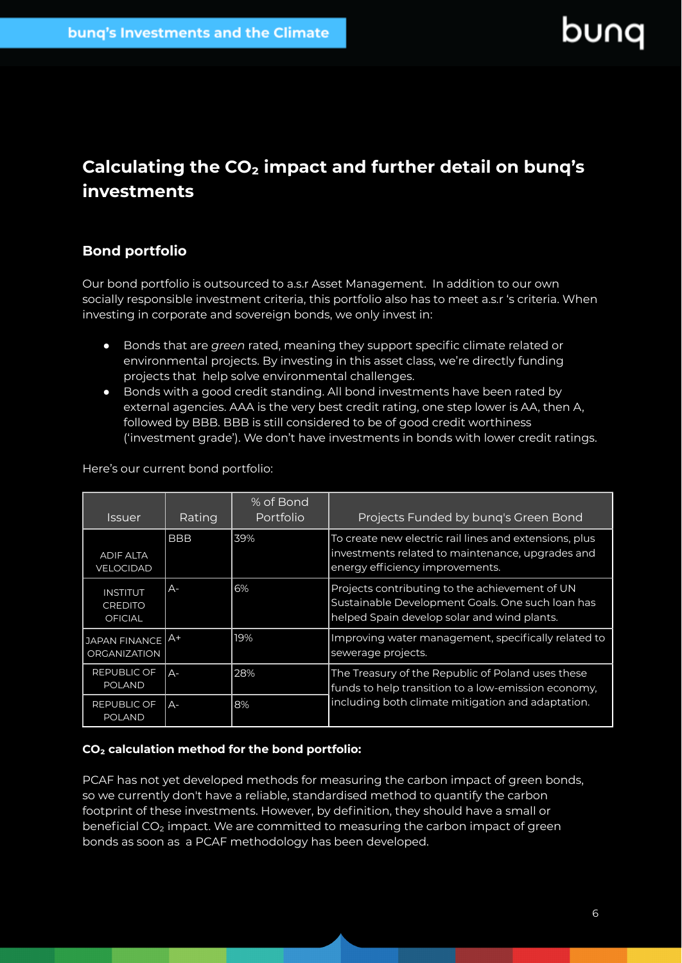### **Calculating the CO₂ impact and further detail on bunq's investments**

#### <span id="page-5-0"></span>**Bond portfolio**

Our bond portfolio is outsourced to a.s.r Asset Management. In addition to our own socially responsible investment criteria, this portfolio also has to meet a.s.r 's criteria. When investing in corporate and sovereign bonds, we only invest in:

- Bonds that are *green* rated, meaning they support specific climate related or environmental projects. By investing in this asset class, we're directly funding projects that help solve environmental challenges.
- Bonds with a good credit standing. All bond investments have been rated by external agencies. AAA is the very best credit rating, one step lower is AA, then A, followed by BBB. BBB is still considered to be of good credit worthiness ('investment grade'). We don't have investments in bonds with lower credit ratings.

Here's our current bond portfolio:

| <i><b>Issuer</b></i>                                | Rating     | % of Bond<br>Portfolio | Projects Funded by bung's Green Bond                                                                                                              |
|-----------------------------------------------------|------------|------------------------|---------------------------------------------------------------------------------------------------------------------------------------------------|
| <b>ADIF ALTA</b><br>VELOCIDAD                       | <b>BBB</b> | 39%                    | To create new electric rail lines and extensions, plus<br>investments related to maintenance, upgrades and<br>energy efficiency improvements.     |
| <b>INSTITUT</b><br><b>CREDITO</b><br><b>OFICIAL</b> | $A -$      | 6%                     | Projects contributing to the achievement of UN<br>Sustainable Development Goals. One such loan has<br>helped Spain develop solar and wind plants. |
| JAPAN FINANCE A <sup>+</sup><br><b>ORGANIZATION</b> |            | 19%                    | Improving water management, specifically related to<br>sewerage projects.                                                                         |
| REPUBLIC OF<br><b>POLAND</b>                        | $A -$      | 28%                    | The Treasury of the Republic of Poland uses these<br>funds to help transition to a low-emission economy,                                          |
| REPUBLIC OF<br><b>POLAND</b>                        | $A -$      | 8%                     | including both climate mitigation and adaptation.                                                                                                 |

#### **CO₂ calculation method for the bond portfolio:**

PCAF has not yet developed methods for measuring the carbon impact of green bonds, so we currently don't have a reliable, standardised method to quantify the carbon footprint of these investments. However, by definition, they should have a small or beneficial CO<sub>2</sub> impact. We are committed to measuring the carbon impact of green bonds as soon as a PCAF methodology has been developed.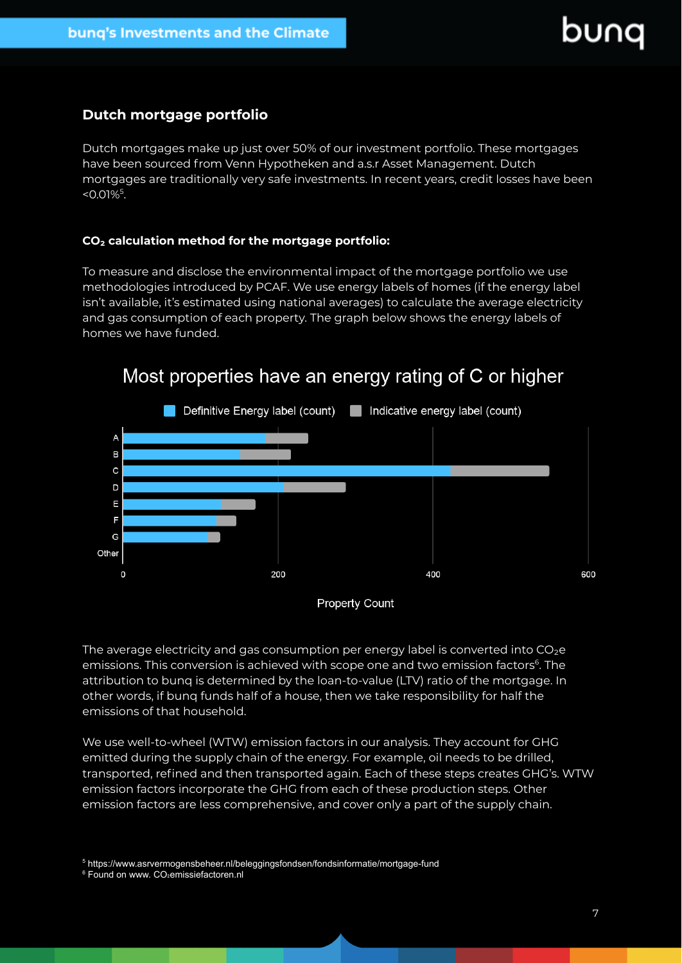#### <span id="page-6-0"></span>**Dutch mortgage portfolio**

Dutch mortgages make up just over 50% of our investment portfolio. These mortgages have been sourced from Venn Hypotheken and a.s.r Asset Management. Dutch mortgages are traditionally very safe investments. In recent years, credit losses have been  $< 0.01\%$ <sup>5</sup>.

#### **CO₂ calculation method for the mortgage portfolio:**

To measure and disclose the environmental impact of the mortgage portfolio we use methodologies introduced by PCAF. We use energy labels of homes (if the energy label isn't available, it's estimated using national averages) to calculate the average electricity and gas consumption of each property. The graph below shows the energy labels of homes we have funded.



### Most properties have an energy rating of C or higher

The average electricity and gas consumption per energy label is converted into CO<sub>2</sub>e emissions. This conversion is achieved with scope one and two emission factors<sup>6</sup>. The attribution to bunq is determined by the loan-to-value (LTV) ratio of the mortgage. In other words, if bunq funds half of a house, then we take responsibility for half the emissions of that household.

We use well-to-wheel (WTW) emission factors in our analysis. They account for GHG emitted during the supply chain of the energy. For example, oil needs to be drilled, transported, refined and then transported again. Each of these steps creates GHG's. WTW emission factors incorporate the GHG from each of these production steps. Other emission factors are less comprehensive, and cover only a part of the supply chain.

<sup>5</sup> https://www.asrvermogensbeheer.nl/beleggingsfondsen/fondsinformatie/mortgage-fund

<sup>6</sup> Found on www. CO<sub>2</sub>emissiefactoren.nl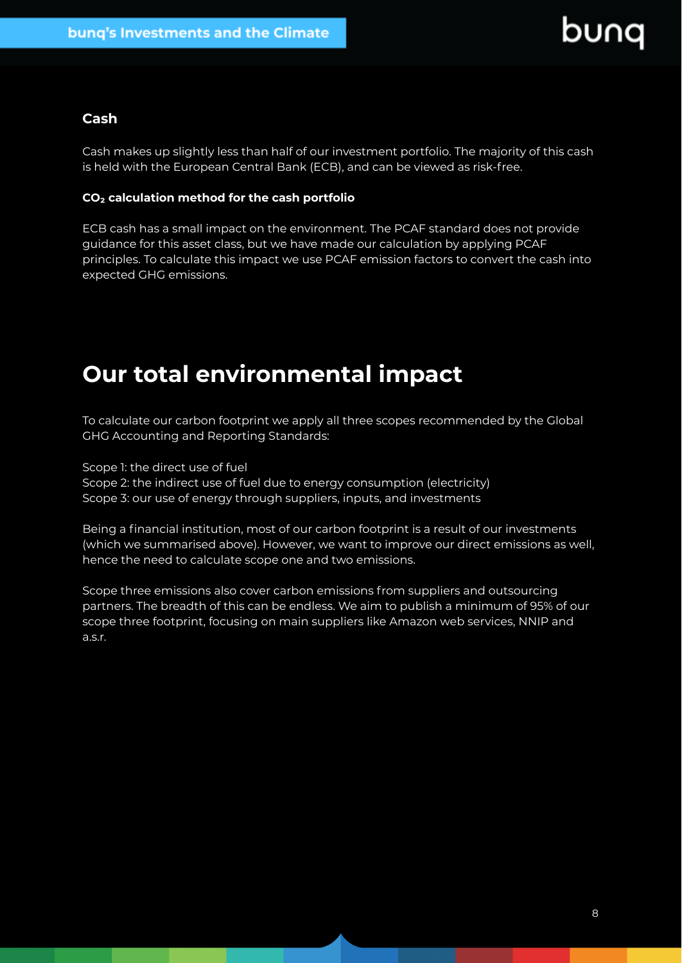#### <span id="page-7-0"></span>**Cash**

Cash makes up slightly less than half of our investment portfolio. The majority of this cash is held with the European Central Bank (ECB), and can be viewed as risk-free.

#### **CO₂ calculation method for the cash portfolio**

ECB cash has a small impact on the environment. The PCAF standard does not provide guidance for this asset class, but we have made our calculation by applying PCAF principles. To calculate this impact we use PCAF emission factors to convert the cash into expected GHG emissions.

# **Our total environmental impact**

To calculate our carbon footprint we apply all three scopes recommended by the Global GHG Accounting and Reporting Standards:

Scope 1: the direct use of fuel

Scope 2: the indirect use of fuel due to energy consumption (electricity) Scope 3: our use of energy through suppliers, inputs, and investments

Being a financial institution, most of our carbon footprint is a result of our investments (which we summarised above). However, we want to improve our direct emissions as well, hence the need to calculate scope one and two emissions.

Scope three emissions also cover carbon emissions from suppliers and outsourcing partners. The breadth of this can be endless. We aim to publish a minimum of 95% of our scope three footprint, focusing on main suppliers like Amazon web services, NNIP and a.s.r.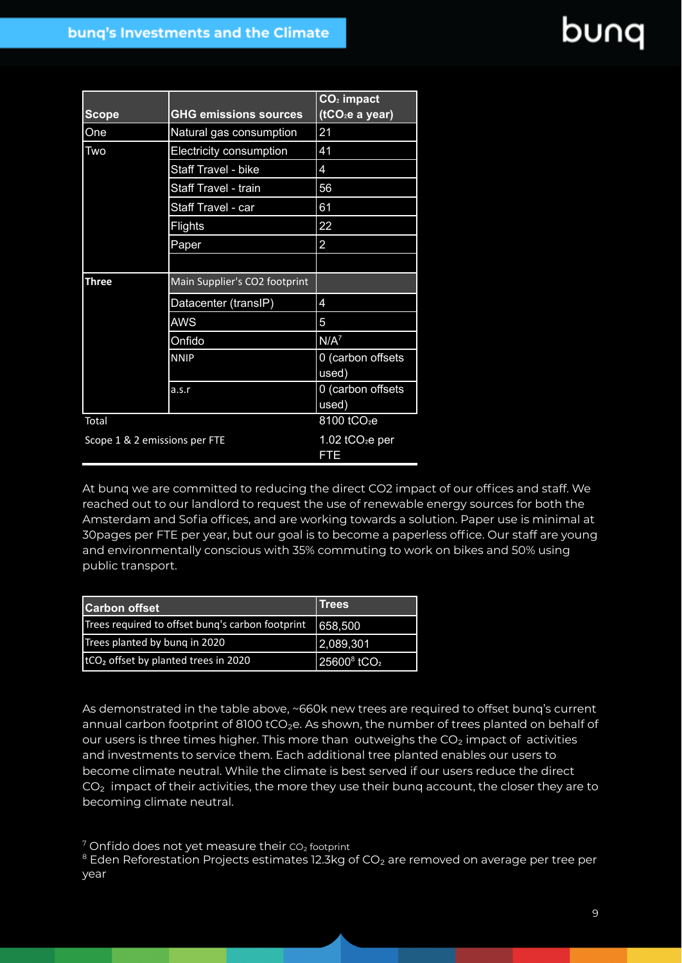|                                               |                              | $CO2$ impact                |
|-----------------------------------------------|------------------------------|-----------------------------|
| <b>Scope</b>                                  | <b>GHG emissions sources</b> | (tCO <sub>2</sub> e a year) |
| One                                           | Natural gas consumption      | 21                          |
| Two                                           | Electricity consumption      | 41                          |
|                                               | <b>Staff Travel - bike</b>   | 4                           |
|                                               | Staff Travel - train         | 56                          |
|                                               | Staff Travel - car           | 61                          |
|                                               | <b>Flights</b>               | 22                          |
|                                               | Paper                        | $\overline{2}$              |
|                                               |                              |                             |
| <b>Three</b><br>Main Supplier's CO2 footprint |                              |                             |
|                                               | Datacenter (transIP)         | 4                           |
|                                               | <b>AWS</b>                   | 5                           |
|                                               | Onfido                       | $N/A^7$                     |
|                                               | <b>NNIP</b>                  | 0 (carbon offsets<br>used)  |
|                                               | a.s.r                        | 0 (carbon offsets<br>used)  |
| Total                                         |                              | 8100 tCO <sub>2</sub> e     |
| Scope 1 & 2 emissions per FTE                 |                              | 1.02 $tCO2e$ per<br>FTE     |

At bunq we are committed to reducing the direct CO2 impact of our offices and staff. We reached out to our landlord to request the use of renewable energy sources for both the Amsterdam and Sofia offices, and are working towards a solution. Paper use is minimal at 30pages per FTE per year, but our goal is to become a paperless office. Our staff are young and environmentally conscious with 35% commuting to work on bikes and 50% using public transport.

| <b>Carbon offset</b>                              | Trees                               |
|---------------------------------------------------|-------------------------------------|
| Trees required to offset bung's carbon footprint  | 658,500                             |
| Trees planted by bung in 2020                     | 2,089,301                           |
| ItCO <sub>2</sub> offset by planted trees in 2020 | 25600 <sup>8</sup> tCO <sub>2</sub> |

As demonstrated in the table above, ~660k new trees are required to offset bunq's current annual carbon footprint of 8100 tCO<sub>2</sub>e. As shown, the number of trees planted on behalf of our users is three times higher. This more than outweighs the  $CO<sub>2</sub>$  impact of activities and investments to service them. Each additional tree planted enables our users to become climate neutral. While the climate is best served if our users reduce the direct  $CO<sub>2</sub>$  impact of their activities, the more they use their bunq account, the closer they are to becoming climate neutral.

 $7$  Onfido does not yet measure their  $CO<sub>2</sub>$  footprint

<sup>8</sup> Eden Reforestation Projects estimates 12.3kg of CO<sub>2</sub> are removed on average per tree per year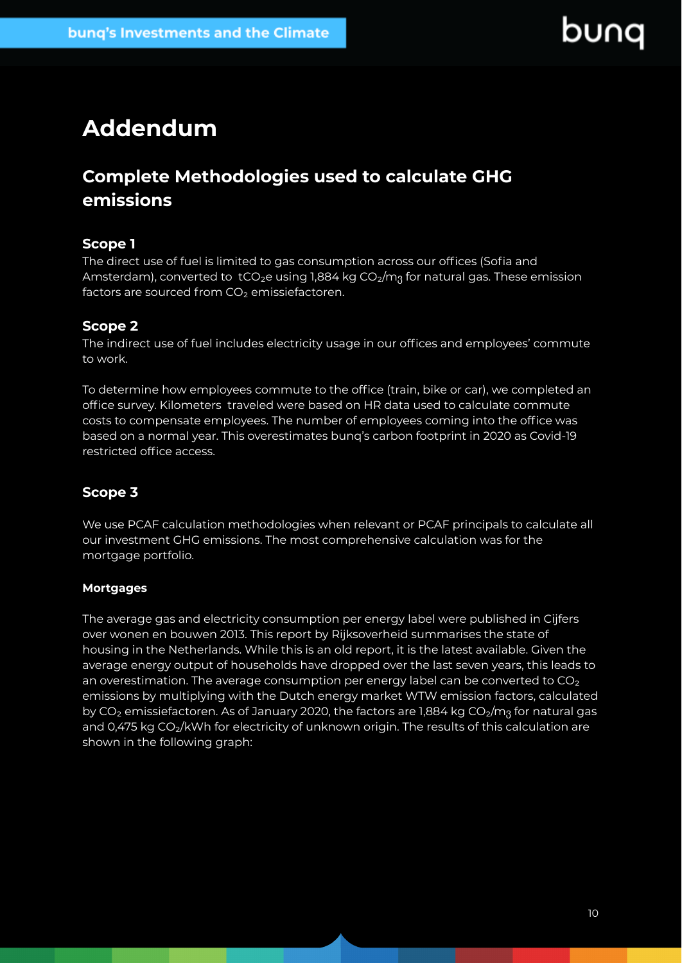# **Addendum**

### <span id="page-9-0"></span>**Complete Methodologies used to calculate GHG emissions**

#### **Scope 1**

The direct use of fuel is limited to gas consumption across our offices (Sofia and Amsterdam), converted to tCO<sub>2</sub>e using 1,884 kg CO<sub>2</sub>/m<sub>3</sub> for natural gas. These emission factors are sourced from CO<sub>2</sub> emissiefactoren.

#### **Scope 2**

The indirect use of fuel includes electricity usage in our offices and employees' commute to work.

To determine how employees commute to the office (train, bike or car), we completed an office survey. Kilometers traveled were based on HR data used to calculate commute costs to compensate employees. The number of employees coming into the office was based on a normal year. This overestimates bunq's carbon footprint in 2020 as Covid-19 restricted office access.

#### **Scope 3**

We use PCAF calculation methodologies when relevant or PCAF principals to calculate all our investment GHG emissions. The most comprehensive calculation was for the mortgage portfolio.

#### **Mortgages**

The average gas and electricity consumption per energy label were published in Cijfers over wonen en bouwen 2013. This report by Rijksoverheid summarises the state of housing in the Netherlands. While this is an old report, it is the latest available. Given the average energy output of households have dropped over the last seven years, this leads to an overestimation. The average consumption per energy label can be converted to CO<sub>2</sub> emissions by multiplying with the Dutch energy market WTW emission factors, calculated by CO<sub>2</sub> emissiefactoren. As of January 2020, the factors are 1,884 kg CO<sub>2</sub>/m<sub>3</sub> for natural gas and 0,475 kg CO2/kWh for electricity of unknown origin. The results of this calculation are shown in the following graph: